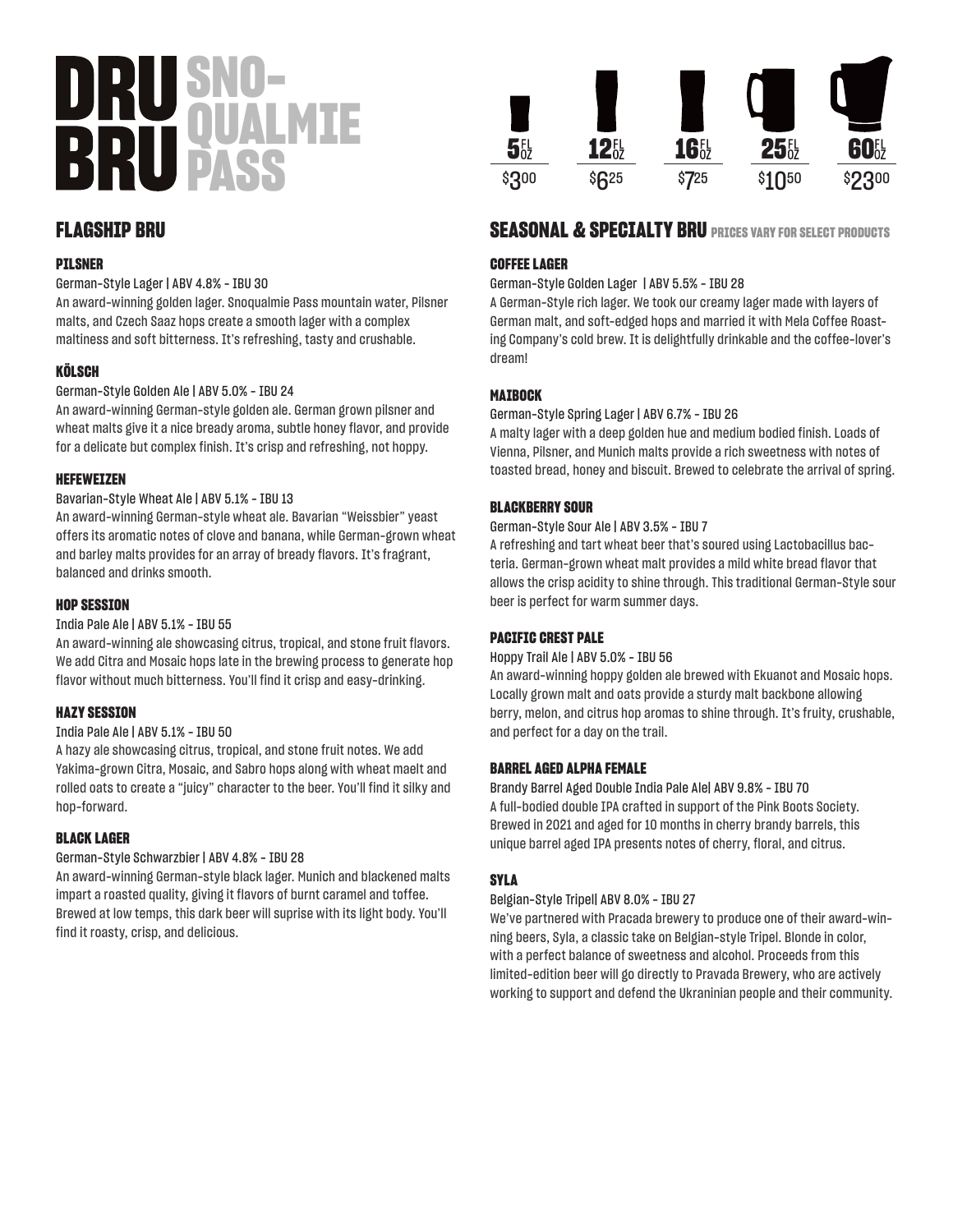# **SNO-QUALMIE PASS**

# **FLAGSHIP BRU**

#### **PILSNER**

German-Style Lager | ABV 4.8% - IBU 30

An award-winning golden lager. Snoqualmie Pass mountain water, Pilsner malts, and Czech Saaz hops create a smooth lager with a complex maltiness and soft bitterness. It's refreshing, tasty and crushable.

#### **KÖLSCH**

German-Style Golden Ale | ABV 5.0% - IBU 24

An award-winning German-style golden ale. German grown pilsner and wheat malts give it a nice bready aroma, subtle honey flavor, and provide for a delicate but complex finish. It's crisp and refreshing, not hoppy.

#### **HEFEWEIZEN**

#### Bavarian-Style Wheat Ale | ABV 5.1% - IBU 13

An award-winning German-style wheat ale. Bavarian "Weissbier" yeast offers its aromatic notes of clove and banana, while German-grown wheat and barley malts provides for an array of bready flavors. It's fragrant, balanced and drinks smooth.

#### **HOP SESSION**

#### India Pale Ale | ABV 5.1% - IBU 55

An award-winning ale showcasing citrus, tropical, and stone fruit flavors. We add Citra and Mosaic hops late in the brewing process to generate hop flavor without much bitterness. You'll find it crisp and easy-drinking.

#### **HAZY SESSION**

#### India Pale Ale | ABV 5.1% - IBU 50

A hazy ale showcasing citrus, tropical, and stone fruit notes. We add Yakima-grown Citra, Mosaic, and Sabro hops along with wheat maelt and rolled oats to create a "juicy" character to the beer. You'll find it silky and hop-forward.

#### **BLACK LAGER**

#### German-Style Schwarzbier | ABV 4.8% - IBU 28

An award-winning German-style black lager. Munich and blackened malts impart a roasted quality, giving it flavors of burnt caramel and toffee. Brewed at low temps, this dark beer will suprise with its light body. You'll find it roasty, crisp, and delicious.



# **SEASONAL & SPECIALTY BRU PRICES VARY FOR SELECT PRODUCTS**

#### **COFFEE LAGER**

German-Style Golden Lager | ABV 5.5% - IBU 28

A German-Style rich lager. We took our creamy lager made with layers of German malt, and soft-edged hops and married it with Mela Coffee Roasting Company's cold brew. It is delightfully drinkable and the coffee-lover's dream!

#### **MAIBOCK**

#### German-Style Spring Lager | ABV 6.7% - IBU 26

A malty lager with a deep golden hue and medium bodied finish. Loads of Vienna, Pilsner, and Munich malts provide a rich sweetness with notes of toasted bread, honey and biscuit. Brewed to celebrate the arrival of spring.

#### **BLACKBERRY SOUR**

#### German-Style Sour Ale | ABV 3.5% - IBU 7

A refreshing and tart wheat beer that's soured using Lactobacillus bacteria. German-grown wheat malt provides a mild white bread flavor that allows the crisp acidity to shine through. This traditional German-Style sour beer is perfect for warm summer days.

#### **PACIFIC CREST PALE**

#### Hoppy Trail Ale | ABV 5.0% - IBU 56

An award-winning hoppy golden ale brewed with Ekuanot and Mosaic hops. Locally grown malt and oats provide a sturdy malt backbone allowing berry, melon, and citrus hop aromas to shine through. It's fruity, crushable, and perfect for a day on the trail.

#### **BARREL AGED ALPHA FEMALE**

Brandy Barrel Aged Double India Pale Ale| ABV 9.8% - IBU 70 A full-bodied double IPA crafted in support of the Pink Boots Society. Brewed in 2021 and aged for 10 months in cherry brandy barrels, this unique barrel aged IPA presents notes of cherry, floral, and citrus.

#### **SYLA**

#### Belgian-Style Tripel| ABV 8.0% - IBU 27

We've partnered with Pracada brewery to produce one of their award-winning beers, Syla, a classic take on Belgian-style Tripel. Blonde in color, with a perfect balance of sweetness and alcohol. Proceeds from this limited-edition beer will go directly to Pravada Brewery, who are actively working to support and defend the Ukraninian people and their community.